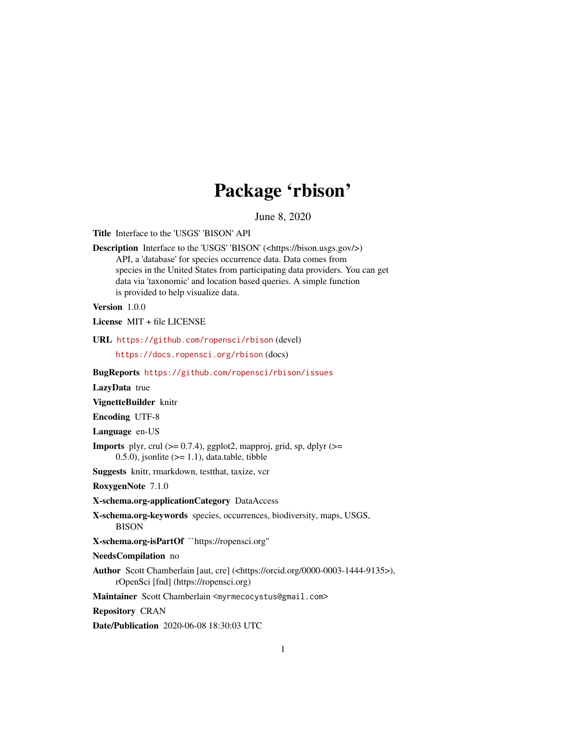# Package 'rbison'

June 8, 2020

<span id="page-0-0"></span>Title Interface to the 'USGS' 'BISON' API

Description Interface to the 'USGS' 'BISON' (<https://bison.usgs.gov/>) API, a 'database' for species occurrence data. Data comes from species in the United States from participating data providers. You can get data via 'taxonomic' and location based queries. A simple function is provided to help visualize data.

Version 1.0.0

License MIT + file LICENSE

URL <https://github.com/ropensci/rbison> (devel)

<https://docs.ropensci.org/rbison> (docs)

BugReports <https://github.com/ropensci/rbison/issues>

LazyData true

VignetteBuilder knitr

Encoding UTF-8

Language en-US

**Imports** plyr, crul  $(>= 0.7.4)$ , ggplot2, mapproj, grid, sp, dplyr  $(>= 0.7.4)$ 0.5.0), jsonlite  $(>= 1.1)$ , data.table, tibble

Suggests knitr, rmarkdown, testthat, taxize, vcr

RoxygenNote 7.1.0

X-schema.org-applicationCategory DataAccess

X-schema.org-keywords species, occurrences, biodiversity, maps, USGS, BISON

X-schema.org-isPartOf ``https://ropensci.org''

NeedsCompilation no

Author Scott Chamberlain [aut, cre] (<https://orcid.org/0000-0003-1444-9135>), rOpenSci [fnd] (https://ropensci.org)

Maintainer Scott Chamberlain <myrmecocystus@gmail.com>

Repository CRAN

Date/Publication 2020-06-08 18:30:03 UTC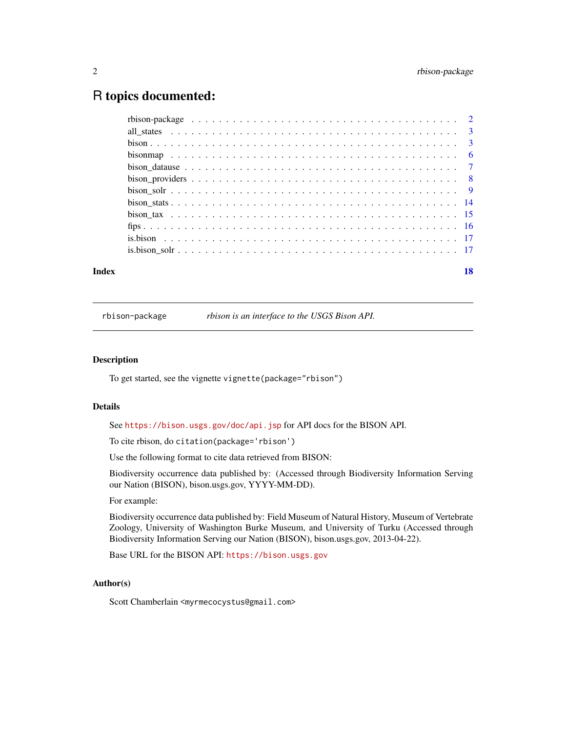# <span id="page-1-0"></span>R topics documented:

| Index |  |  |  |  |  |  |  |  |  |  |  |  |  |  |  |  |  |  | 18 |
|-------|--|--|--|--|--|--|--|--|--|--|--|--|--|--|--|--|--|--|----|

rbison-package *rbison is an interface to the USGS Bison API.*

### Description

To get started, see the vignette vignette(package="rbison")

#### Details

See <https://bison.usgs.gov/doc/api.jsp> for API docs for the BISON API.

To cite rbison, do citation(package='rbison')

Use the following format to cite data retrieved from BISON:

Biodiversity occurrence data published by: (Accessed through Biodiversity Information Serving our Nation (BISON), bison.usgs.gov, YYYY-MM-DD).

#### For example:

Biodiversity occurrence data published by: Field Museum of Natural History, Museum of Vertebrate Zoology, University of Washington Burke Museum, and University of Turku (Accessed through Biodiversity Information Serving our Nation (BISON), bison.usgs.gov, 2013-04-22).

Base URL for the BISON API: <https://bison.usgs.gov>

#### Author(s)

Scott Chamberlain <myrmecocystus@gmail.com>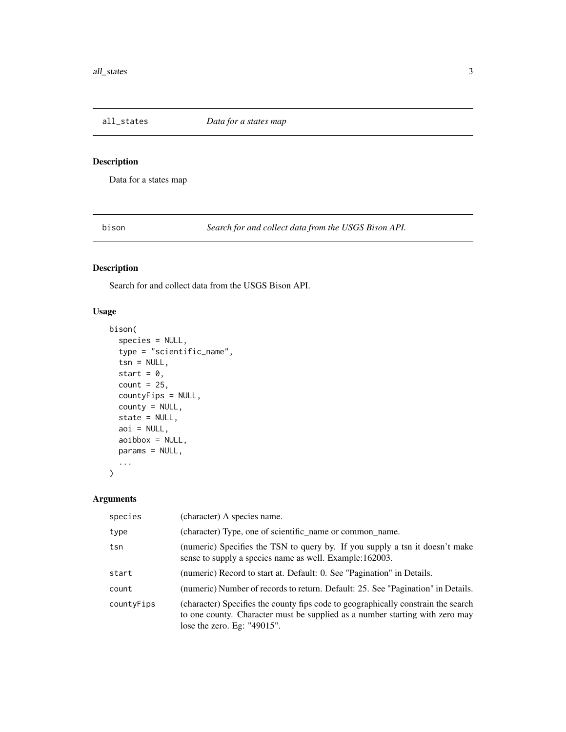<span id="page-2-0"></span>

# Description

Data for a states map

<span id="page-2-1"></span>bison *Search for and collect data from the USGS Bison API.*

# Description

Search for and collect data from the USGS Bison API.

# Usage

```
bison(
  species = NULL,
  type = "scientific_name",
  tsn = NULL,start = 0,
  count = 25,
  countyFips = NULL,
  county = NULL,
  state = NULL,
  aoi = NULL,
 aoibbox = NULL,
 params = NULL,
  ...
)
```
# Arguments

| species    | (character) A species name.                                                                                                                                                                         |
|------------|-----------------------------------------------------------------------------------------------------------------------------------------------------------------------------------------------------|
| type       | (character) Type, one of scientific_name or common_name.                                                                                                                                            |
| tsn        | (numeric) Specifies the TSN to query by. If you supply a tsn it doesn't make<br>sense to supply a species name as well. Example:162003.                                                             |
| start      | (numeric) Record to start at. Default: 0. See "Pagination" in Details.                                                                                                                              |
| count      | (numeric) Number of records to return. Default: 25. See "Pagination" in Details.                                                                                                                    |
| countyFips | (character) Specifies the county fips code to geographically constrain the search<br>to one county. Character must be supplied as a number starting with zero may<br>lose the zero. Eg: $"49015"$ . |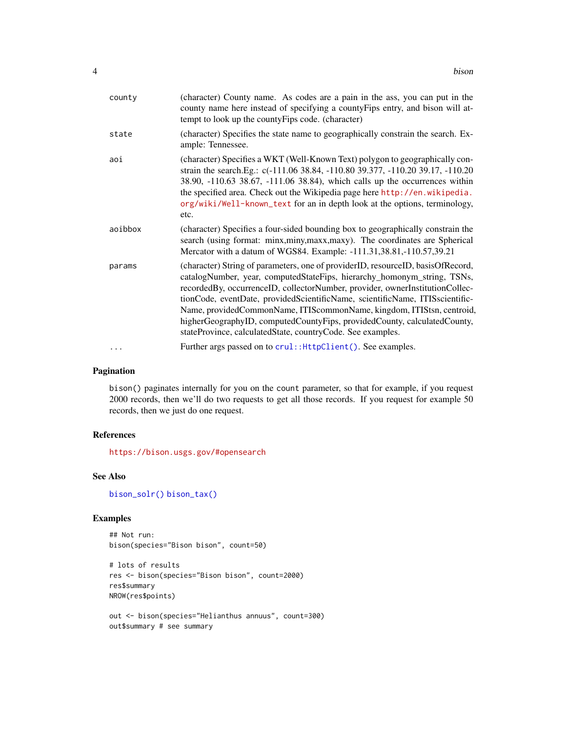<span id="page-3-0"></span>

| county   | (character) County name. As codes are a pain in the ass, you can put in the<br>county name here instead of specifying a county Fips entry, and bison will at-<br>tempt to look up the county Fips code. (character)                                                                                                                                                                                                                                                                                                                           |
|----------|-----------------------------------------------------------------------------------------------------------------------------------------------------------------------------------------------------------------------------------------------------------------------------------------------------------------------------------------------------------------------------------------------------------------------------------------------------------------------------------------------------------------------------------------------|
| state    | (character) Specifies the state name to geographically constrain the search. Ex-<br>ample: Tennessee.                                                                                                                                                                                                                                                                                                                                                                                                                                         |
| aoi      | (character) Specifies a WKT (Well-Known Text) polygon to geographically con-<br>strain the search.Eg.: c(-111.06 38.84, -110.80 39.377, -110.20 39.17, -110.20<br>38.90, -110.63 38.67, -111.06 38.84), which calls up the occurrences within<br>the specified area. Check out the Wikipedia page here http://en.wikipedia.<br>org/wiki/Well-known_text for an in depth look at the options, terminology,<br>etc.                                                                                                                             |
| aoibbox  | (character) Specifies a four-sided bounding box to geographically constrain the<br>search (using format: minx, miny, maxx, maxy). The coordinates are Spherical<br>Mercator with a datum of WGS84. Example: -111.31,38.81,-110.57,39.21                                                                                                                                                                                                                                                                                                       |
| params   | (character) String of parameters, one of providerID, resourceID, basisOfRecord,<br>catalogNumber, year, computedStateFips, hierarchy_homonym_string, TSNs,<br>recordedBy, occurrenceID, collectorNumber, provider, ownerInstitutionCollec-<br>tionCode, eventDate, providedScientificName, scientificName, ITISscientific-<br>Name, providedCommonName, ITIScommonName, kingdom, ITIStsn, centroid,<br>higherGeographyID, computedCountyFips, providedCounty, calculatedCounty,<br>stateProvince, calculatedState, countryCode. See examples. |
| $\cdots$ | Further args passed on to crul:: HttpClient(). See examples.                                                                                                                                                                                                                                                                                                                                                                                                                                                                                  |

## Pagination

bison() paginates internally for you on the count parameter, so that for example, if you request 2000 records, then we'll do two requests to get all those records. If you request for example 50 records, then we just do one request.

# References

<https://bison.usgs.gov/#opensearch>

# See Also

[bison\\_solr\(\)](#page-8-1) [bison\\_tax\(\)](#page-14-1)

# Examples

```
## Not run:
bison(species="Bison bison", count=50)
```

```
# lots of results
res <- bison(species="Bison bison", count=2000)
res$summary
NROW(res$points)
```

```
out <- bison(species="Helianthus annuus", count=300)
out$summary # see summary
```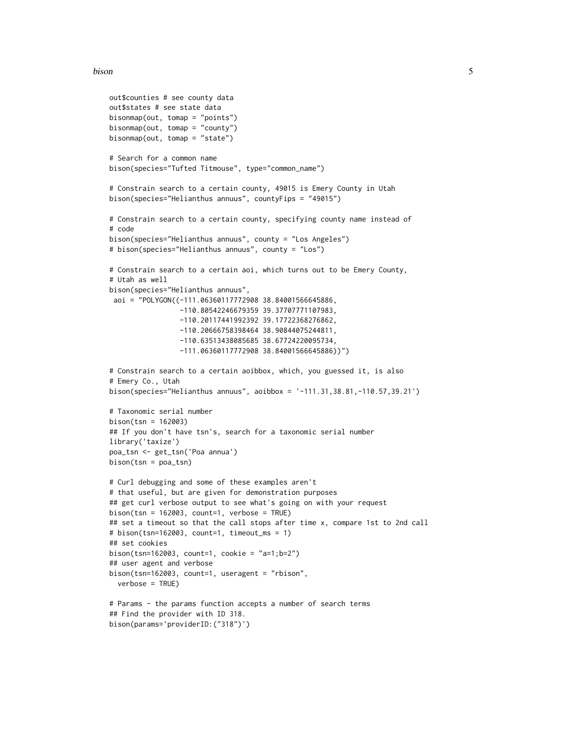```
out$counties # see county data
out$states # see state data
bisonmap(out, tomap = "points")
bisonmap(out, tomap = "county")
bisonmap(out, tomap = "state")
# Search for a common name
bison(species="Tufted Titmouse", type="common_name")
# Constrain search to a certain county, 49015 is Emery County in Utah
bison(species="Helianthus annuus", countyFips = "49015")
# Constrain search to a certain county, specifying county name instead of
# code
bison(species="Helianthus annuus", county = "Los Angeles")
# bison(species="Helianthus annuus", county = "Los")
# Constrain search to a certain aoi, which turns out to be Emery County,
# Utah as well
bison(species="Helianthus annuus",
 aoi = "POLYGON((-111.06360117772908 38.84001566645886,
                 -110.80542246679359 39.37707771107983,
                 -110.20117441992392 39.17722368276862,
                 -110.20666758398464 38.90844075244811,
                 -110.63513438085685 38.67724220095734,
                 -111.06360117772908 38.84001566645886))")
# Constrain search to a certain aoibbox, which, you guessed it, is also
# Emery Co., Utah
bison(species="Helianthus annuus", aoibbox = '-111.31,38.81,-110.57,39.21')
# Taxonomic serial number
bison(tsn = 162003)
## If you don't have tsn's, search for a taxonomic serial number
library('taxize')
poa_tsn <- get_tsn('Poa annua')
bison(tsn = poa_tsn)# Curl debugging and some of these examples aren't
# that useful, but are given for demonstration purposes
## get curl verbose output to see what's going on with your request
bison(tsn = 162003, count=1, verbose = TRUE)
## set a timeout so that the call stops after time x, compare 1st to 2nd call
# bison(tsn=162003, count=1, timeout_ms = 1)
## set cookies
bison(tsn=162003, count=1, cookie = "a=1;b=2")
## user agent and verbose
bison(tsn=162003, count=1, useragent = "rbison",
  verbose = TRUE)
# Params - the params function accepts a number of search terms
## Find the provider with ID 318.
bison(params='providerID:("318")')
```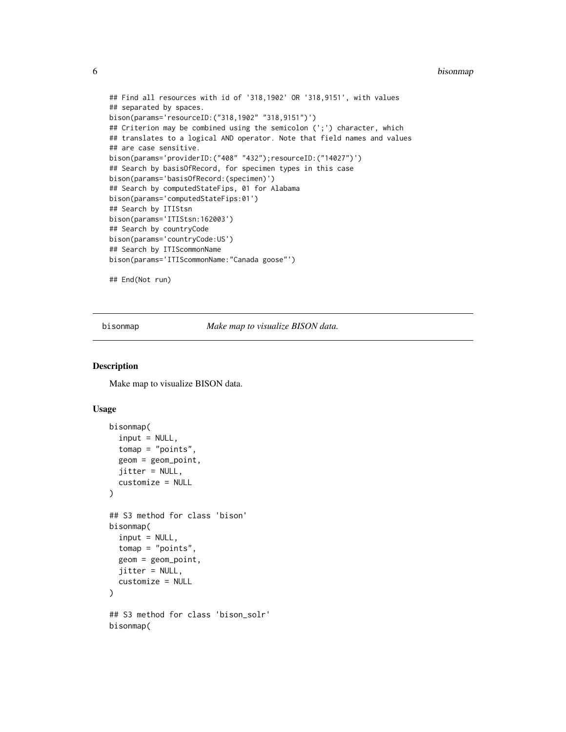#### <span id="page-5-0"></span>6 bisonmap

```
## Find all resources with id of '318,1902' OR '318,9151', with values
## separated by spaces.
bison(params='resourceID:("318,1902" "318,9151")')
## Criterion may be combined using the semicolon (';') character, which
## translates to a logical AND operator. Note that field names and values
## are case sensitive.
bison(params='providerID:("408" "432");resourceID:("14027")')
## Search by basisOfRecord, for specimen types in this case
bison(params='basisOfRecord:(specimen)')
## Search by computedStateFips, 01 for Alabama
bison(params='computedStateFips:01')
## Search by ITIStsn
bison(params='ITIStsn:162003')
## Search by countryCode
bison(params='countryCode:US')
## Search by ITIScommonName
bison(params='ITIScommonName:"Canada goose"')
## End(Not run)
```
bisonmap *Make map to visualize BISON data.*

# Description

Make map to visualize BISON data.

#### Usage

```
bisonmap(
  input = NULL,tomap = "points",
  geom = geom_point,
  jitter = NULL,
  customize = NULL
)
## S3 method for class 'bison'
bisonmap(
  input = NULL,tomap = "points",
  geom = geom_point,
  jitter = NULL,
  customize = NULL
)
## S3 method for class 'bison_solr'
bisonmap(
```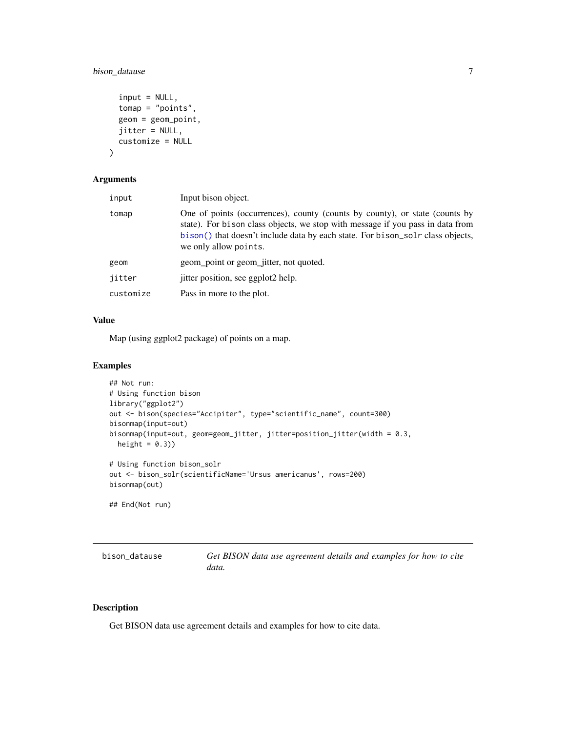# <span id="page-6-0"></span>bison\_datause 7

```
input = NULL,tomap = "points",
 geom = geom_point,
 jitter = NULL,
 customize = NULL
)
```
# Arguments

| input     | Input bison object.                                                                                                                                                                                                                                                      |
|-----------|--------------------------------------------------------------------------------------------------------------------------------------------------------------------------------------------------------------------------------------------------------------------------|
| tomap     | One of points (occurrences), county (counts by county), or state (counts by<br>state). For bison class objects, we stop with message if you pass in data from<br>bison() that doesn't include data by each state. For bison_solr class objects,<br>we only allow points. |
| geom      | geom_point or geom_jitter, not quoted.                                                                                                                                                                                                                                   |
| jitter    | jitter position, see ggplot2 help.                                                                                                                                                                                                                                       |
| customize | Pass in more to the plot.                                                                                                                                                                                                                                                |
|           |                                                                                                                                                                                                                                                                          |

# Value

Map (using ggplot2 package) of points on a map.

# Examples

```
## Not run:
# Using function bison
library("ggplot2")
out <- bison(species="Accipiter", type="scientific_name", count=300)
bisonmap(input=out)
bisonmap(input=out, geom=geom_jitter, jitter=position_jitter(width = 0.3,
  height = (0.3))
# Using function bison_solr
out <- bison_solr(scientificName='Ursus americanus', rows=200)
bisonmap(out)
## End(Not run)
```

| bison datause | Get BISON data use agreement details and examples for how to cite |
|---------------|-------------------------------------------------------------------|
|               | data.                                                             |

# Description

Get BISON data use agreement details and examples for how to cite data.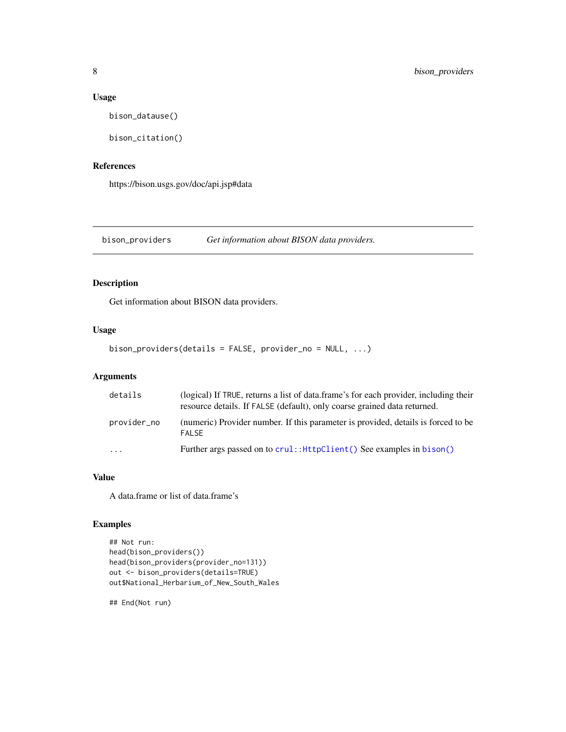### Usage

bison\_datause()

bison\_citation()

# References

https://bison.usgs.gov/doc/api.jsp#data

bison\_providers *Get information about BISON data providers.*

# Description

Get information about BISON data providers.

# Usage

bison\_providers(details = FALSE, provider\_no = NULL, ...)

# Arguments

| details                 | (logical) If TRUE, returns a list of data.frame's for each provider, including their<br>resource details. If FALSE (default), only coarse grained data returned. |
|-------------------------|------------------------------------------------------------------------------------------------------------------------------------------------------------------|
| provider_no             | (numeric) Provider number. If this parameter is provided, details is forced to be<br><b>FAI SF</b>                                                               |
| $\cdot$ $\cdot$ $\cdot$ | Further args passed on to crul:: HttpClient () See examples in bison ()                                                                                          |

#### Value

A data.frame or list of data.frame's

# Examples

```
## Not run:
head(bison_providers())
head(bison_providers(provider_no=131))
out <- bison_providers(details=TRUE)
out$National_Herbarium_of_New_South_Wales
```
## End(Not run)

<span id="page-7-0"></span>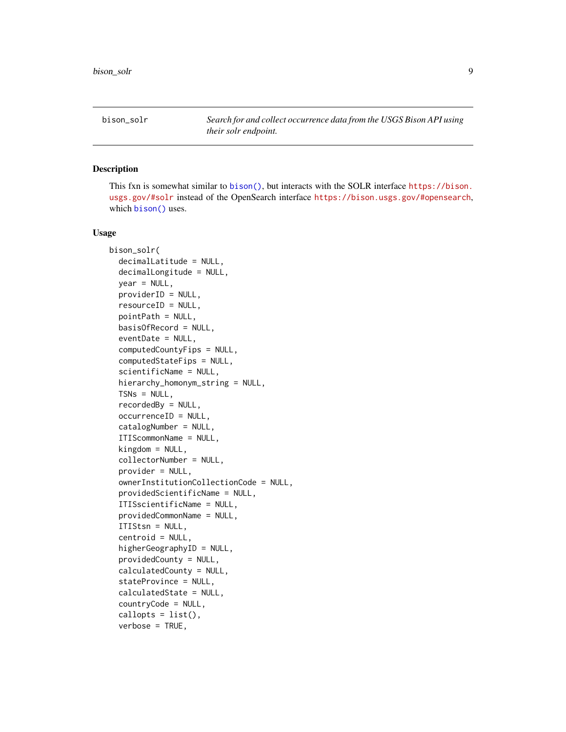<span id="page-8-1"></span><span id="page-8-0"></span>

### Description

This fxn is somewhat similar to [bison\(\)](#page-2-1), but interacts with the SOLR interface [https://bison.](https://bison.usgs.gov/#solr) [usgs.gov/#solr](https://bison.usgs.gov/#solr) instead of the OpenSearch interface <https://bison.usgs.gov/#opensearch>, which [bison\(\)](#page-2-1) uses.

#### Usage

```
bison_solr(
  decimalLatitude = NULL,
  decimalLongitude = NULL,
  year = NULL,
  providerID = NULL,
  resourceID = NULL,
  pointPath = NULL,
 basisOfRecord = NULL,
  eventDate = NULL,
  computedCountyFips = NULL,
  computedStateFips = NULL,
  scientificName = NULL,
  hierarchy_homonym_string = NULL,
  TSNs = NULL,
  recordedBy = NULL,
  occurrenceID = NULL,
  catalogNumber = NULL,
  ITIScommonName = NULL,
  kingdom = NULL,
  collectorNumber = NULL,
  provider = NULL,
  ownerInstitutionCollectionCode = NULL,
  providedScientificName = NULL,
  ITISscientificName = NULL,
  providedCommonName = NULL,
  ITIStsn = NULL,
  centroid = NULL,
  higherGeographyID = NULL,
  providedCounty = NULL,
  calculatedCounty = NULL,
  stateProvince = NULL,
  calculatedState = NULL,
  countryCode = NULL,
  callopts = list(),verbose = TRUE,
```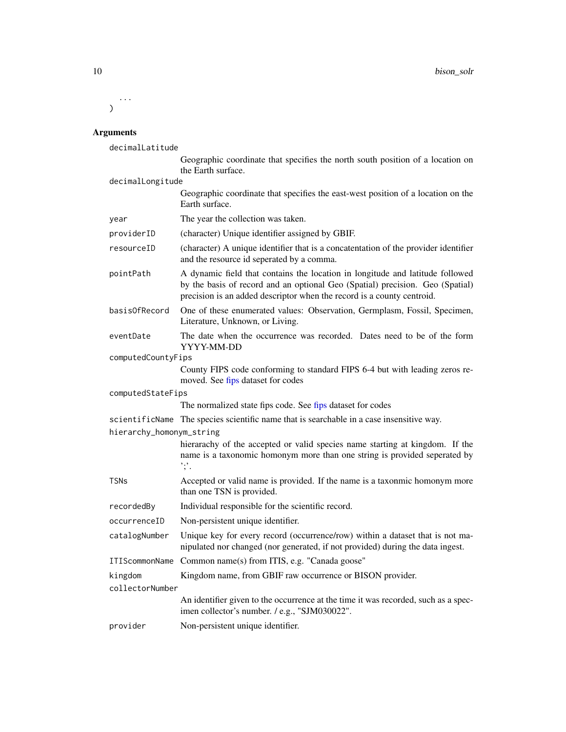<span id="page-9-0"></span>... )

#### Arguments

decimalLatitude

Geographic coordinate that specifies the north south position of a location on the Earth surface.

decimalLongitude

| Geographic coordinate that specifies the east-west position of a location on the |
|----------------------------------------------------------------------------------|
| Earth surface.                                                                   |

- year The year the collection was taken.
- providerID (character) Unique identifier assigned by GBIF.
- resourceID (character) A unique identifier that is a concatentation of the provider identifier and the resource id seperated by a comma.
- pointPath A dynamic field that contains the location in longitude and latitude followed by the basis of record and an optional Geo (Spatial) precision. Geo (Spatial) precision is an added descriptor when the record is a county centroid.
- basisOfRecord One of these enumerated values: Observation, Germplasm, Fossil, Specimen, Literature, Unknown, or Living.
- eventDate The date when the occurrence was recorded. Dates need to be of the form YYYY-MM-DD
- computedCountyFips

County FIPS code conforming to standard FIPS 6-4 but with leading zeros removed. See [fips](#page-15-1) dataset for codes

computedStateFips

The normalized state fips code. See [fips](#page-15-1) dataset for codes

scientificName The species scientific name that is searchable in a case insensitive way.

hierarchy\_homonym\_string

| hierarachy of the accepted or valid species name starting at kingdom. If the |  |
|------------------------------------------------------------------------------|--|
| name is a taxonomic homonym more than one string is provided seperated by    |  |
| $, \cdot$ ,                                                                  |  |
|                                                                              |  |

- TSNs Accepted or valid name is provided. If the name is a taxonmic homonym more than one TSN is provided.
- recordedBy Individual responsible for the scientific record.
- occurrenceID Non-persistent unique identifier.
- catalogNumber Unique key for every record (occurrence/row) within a dataset that is not manipulated nor changed (nor generated, if not provided) during the data ingest.
- ITIScommonName Common name(s) from ITIS, e.g. "Canada goose"
- kingdom Kingdom name, from GBIF raw occurrence or BISON provider.
- collectorNumber An identifier given to the occurrence at the time it was recorded, such as a spec
	- imen collector's number. / e.g., "SJM030022".
- provider Non-persistent unique identifier.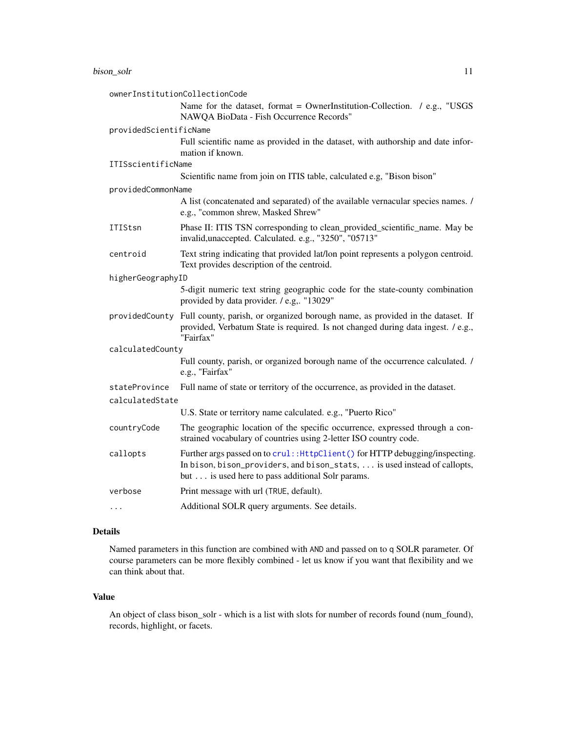<span id="page-10-0"></span>

|                        | ownerInstitutionCollectionCode                                                                                                                                                                                |
|------------------------|---------------------------------------------------------------------------------------------------------------------------------------------------------------------------------------------------------------|
|                        | Name for the dataset, format = OwnerInstitution-Collection. / e.g., "USGS<br>NAWQA BioData - Fish Occurrence Records"                                                                                         |
| providedScientificName |                                                                                                                                                                                                               |
|                        | Full scientific name as provided in the dataset, with authorship and date infor-<br>mation if known.                                                                                                          |
| ITISscientificName     |                                                                                                                                                                                                               |
|                        | Scientific name from join on ITIS table, calculated e.g, "Bison bison"                                                                                                                                        |
| providedCommonName     |                                                                                                                                                                                                               |
|                        | A list (concatenated and separated) of the available vernacular species names. /<br>e.g., "common shrew, Masked Shrew"                                                                                        |
| ITIStsn                | Phase II: ITIS TSN corresponding to clean_provided_scientific_name. May be<br>invalid, unaccepted. Calculated. e.g., "3250", "05713"                                                                          |
| centroid               | Text string indicating that provided lat/lon point represents a polygon centroid.<br>Text provides description of the centroid.                                                                               |
| higherGeographyID      |                                                                                                                                                                                                               |
|                        | 5-digit numeric text string geographic code for the state-county combination<br>provided by data provider. / e.g "13029"                                                                                      |
|                        | providedCounty Full county, parish, or organized borough name, as provided in the dataset. If<br>provided, Verbatum State is required. Is not changed during data ingest. / e.g.,<br>"Fairfax"                |
| calculatedCounty       |                                                                                                                                                                                                               |
|                        | Full county, parish, or organized borough name of the occurrence calculated. /<br>e.g., "Fairfax"                                                                                                             |
| stateProvince          | Full name of state or territory of the occurrence, as provided in the dataset.                                                                                                                                |
| calculatedState        |                                                                                                                                                                                                               |
|                        | U.S. State or territory name calculated. e.g., "Puerto Rico"                                                                                                                                                  |
| countryCode            | The geographic location of the specific occurrence, expressed through a con-<br>strained vocabulary of countries using 2-letter ISO country code.                                                             |
| callopts               | Further args passed on to crul:: HttpClient() for HTTP debugging/inspecting.<br>In bison, bison_providers, and bison_stats,  is used instead of callopts,<br>but is used here to pass additional Solr params. |
| verbose                | Print message with url (TRUE, default).                                                                                                                                                                       |
| .                      | Additional SOLR query arguments. See details.                                                                                                                                                                 |

# Details

Named parameters in this function are combined with AND and passed on to q SOLR parameter. Of course parameters can be more flexibly combined - let us know if you want that flexibility and we can think about that.

## Value

An object of class bison\_solr - which is a list with slots for number of records found (num\_found), records, highlight, or facets.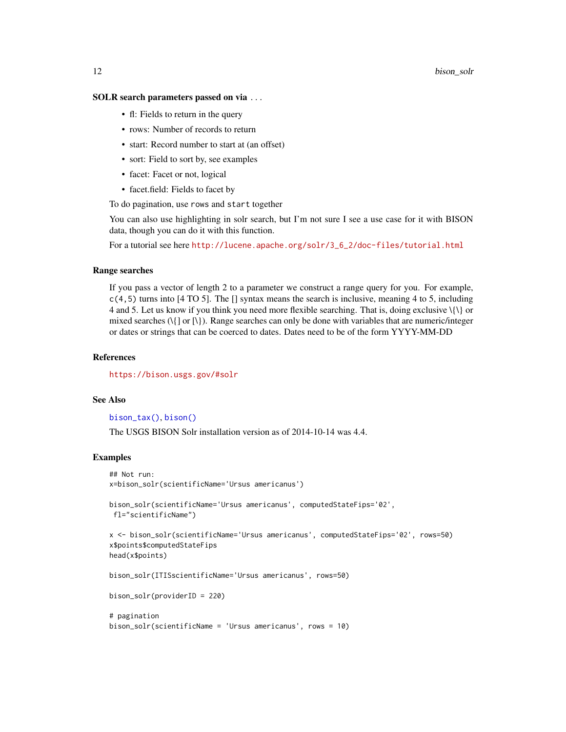#### <span id="page-11-0"></span>SOLR search parameters passed on via ...

- fl: Fields to return in the query
- rows: Number of records to return
- start: Record number to start at (an offset)
- sort: Field to sort by, see examples
- facet: Facet or not, logical
- facet.field: Fields to facet by

To do pagination, use rows and start together

You can also use highlighting in solr search, but I'm not sure I see a use case for it with BISON data, though you can do it with this function.

For a tutorial see here [http://lucene.apache.org/solr/3\\_6\\_2/doc-files/tutorial.html](http://lucene.apache.org/solr/3_6_2/doc-files/tutorial.html)

#### Range searches

If you pass a vector of length 2 to a parameter we construct a range query for you. For example,  $c(4,5)$  turns into [4 TO 5]. The [] syntax means the search is inclusive, meaning 4 to 5, including 4 and 5. Let us know if you think you need more flexible searching. That is, doing exclusive  $\{\{\}$  or mixed searches (\{] or [\}). Range searches can only be done with variables that are numeric/integer or dates or strings that can be coerced to dates. Dates need to be of the form YYYY-MM-DD

#### References

<https://bison.usgs.gov/#solr>

#### See Also

[bison\\_tax\(\)](#page-14-1), [bison\(\)](#page-2-1)

The USGS BISON Solr installation version as of 2014-10-14 was 4.4.

# Examples

```
## Not run:
x=bison_solr(scientificName='Ursus americanus')
bison_solr(scientificName='Ursus americanus', computedStateFips='02',
fl="scientificName")
x <- bison_solr(scientificName='Ursus americanus', computedStateFips='02', rows=50)
x$points$computedStateFips
head(x$points)
bison_solr(ITISscientificName='Ursus americanus', rows=50)
bison_solr(providerID = 220)
# pagination
bison_solr(scientificName = 'Ursus americanus', rows = 10)
```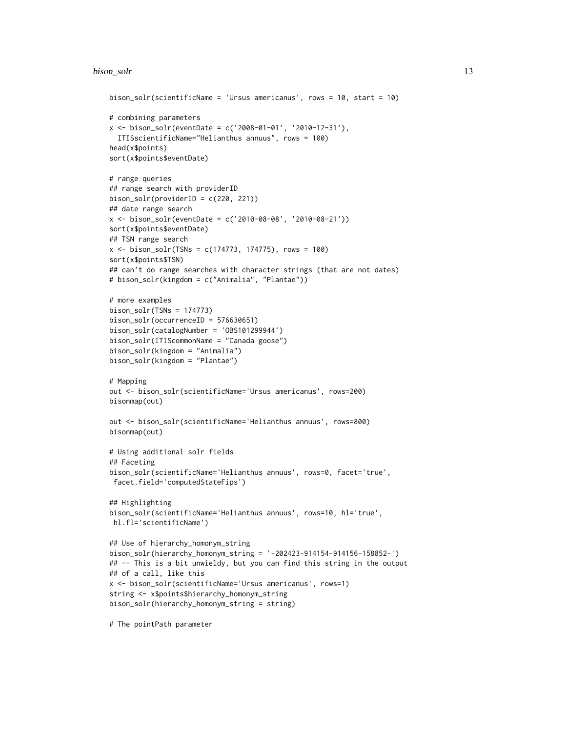#### bison\_solr 13

```
bison_solr(scientificName = 'Ursus americanus', rows = 10, start = 10)
# combining parameters
x \le - bison_solr(eventDate = c('2008-01-01', '2010-12-31'),
  ITISscientificName="Helianthus annuus", rows = 100)
head(x$points)
sort(x$points$eventDate)
# range queries
## range search with providerID
bison_solr(providerID = c(220, 221))
## date range search
x \le -\text{ bison\_solr}(\text{eventDate} = c('2010-08-08', '2010-08-21'))sort(x$points$eventDate)
## TSN range search
x \le - bison_solr(TSNs = c(174773, 174775), rows = 100)
sort(x$points$TSN)
## can't do range searches with character strings (that are not dates)
# bison_solr(kingdom = c("Animalia", "Plantae"))
# more examples
bison\_solv(TSNs = 174773)bison_solr(occurrenceID = 576630651)
bison_solr(catalogNumber = 'OBS101299944')
bison_solr(ITIScommonName = "Canada goose")
bison_solr(kingdom = "Animalia")
bison_solr(kingdom = "Plantae")
# Mapping
out <- bison_solr(scientificName='Ursus americanus', rows=200)
bisonmap(out)
out <- bison_solr(scientificName='Helianthus annuus', rows=800)
bisonmap(out)
# Using additional solr fields
## Faceting
bison_solr(scientificName='Helianthus annuus', rows=0, facet='true',
 facet.field='computedStateFips')
## Highlighting
bison_solr(scientificName='Helianthus annuus', rows=10, hl='true',
hl.fl='scientificName')
## Use of hierarchy_homonym_string
bison_solr(hierarchy_homonym_string = '-202423-914154-914156-158852-')
## -- This is a bit unwieldy, but you can find this string in the output
## of a call, like this
x <- bison_solr(scientificName='Ursus americanus', rows=1)
string <- x$points$hierarchy_homonym_string
bison_solr(hierarchy_homonym_string = string)
```
# The pointPath parameter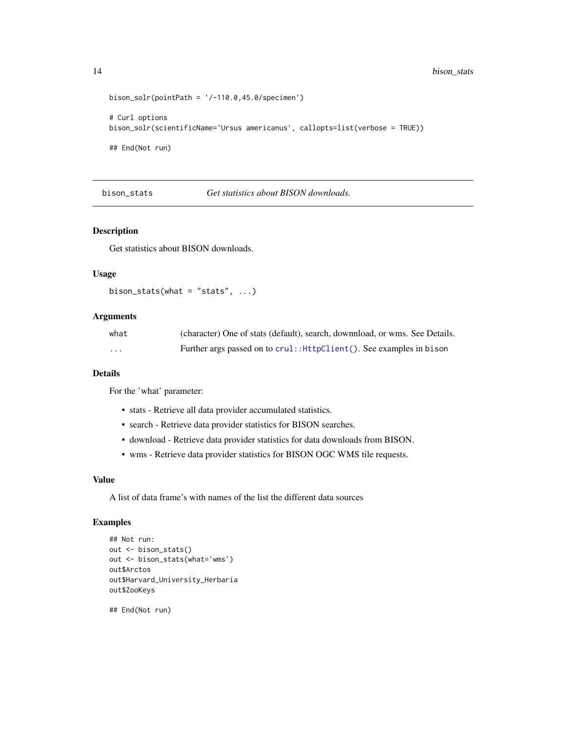```
bison\_solv(pointPath = '/-110.0, 45.0/specimen')# Curl options
bison_solr(scientificName='Ursus americanus', callopts=list(verbose = TRUE))
## End(Not run)
```
bison\_stats *Get statistics about BISON downloads.*

#### Description

Get statistics about BISON downloads.

#### Usage

```
bison_stats(what = "stats", \ldots)
```
#### Arguments

| what | (character) One of stats (default), search, downnload, or wms. See Details. |
|------|-----------------------------------------------------------------------------|
| .    | Further args passed on to crul:: HttpClient(). See examples in bison        |

#### Details

For the 'what' parameter:

- stats Retrieve all data provider accumulated statistics.
- search Retrieve data provider statistics for BISON searches.
- download Retrieve data provider statistics for data downloads from BISON.
- wms Retrieve data provider statistics for BISON OGC WMS tile requests.

#### Value

A list of data frame's with names of the list the different data sources

#### Examples

```
## Not run:
out <- bison_stats()
out <- bison_stats(what='wms')
out$Arctos
out$Harvard_University_Herbaria
out$ZooKeys
```
## End(Not run)

<span id="page-13-0"></span>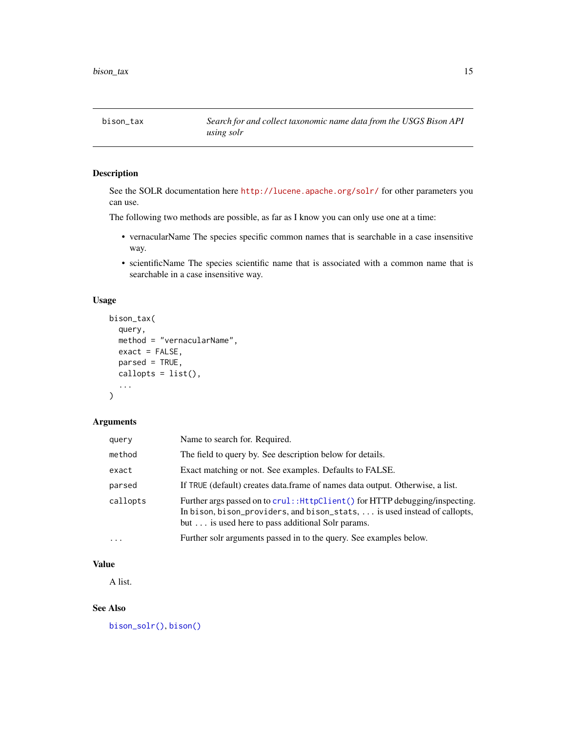<span id="page-14-1"></span><span id="page-14-0"></span>bison\_tax *Search for and collect taxonomic name data from the USGS Bison API using solr*

# Description

See the SOLR documentation here <http://lucene.apache.org/solr/> for other parameters you can use.

The following two methods are possible, as far as I know you can only use one at a time:

- vernacularName The species specific common names that is searchable in a case insensitive way.
- scientificName The species scientific name that is associated with a common name that is searchable in a case insensitive way.

# Usage

```
bison_tax(
  query,
  method = "vernacularName",
  exact = FALSE,parsed = TRUE,
  callopts = list(),...
\mathcal{E}
```
# Arguments

| query    | Name to search for. Required.                                                                                                                                                                                   |
|----------|-----------------------------------------------------------------------------------------------------------------------------------------------------------------------------------------------------------------|
| method   | The field to query by. See description below for details.                                                                                                                                                       |
| exact    | Exact matching or not. See examples. Defaults to FALSE.                                                                                                                                                         |
| parsed   | If TRUE (default) creates data.frame of names data output. Otherwise, a list.                                                                                                                                   |
| callopts | Further args passed on to crul: : HttpClient () for HTTP debugging/inspecting.<br>In bison, bison_providers, and bison_stats,  is used instead of callopts,<br>but is used here to pass additional Solr params. |
| $\cdots$ | Further solr arguments passed in to the query. See examples below.                                                                                                                                              |

## Value

A list.

# See Also

[bison\\_solr\(\)](#page-8-1), [bison\(\)](#page-2-1)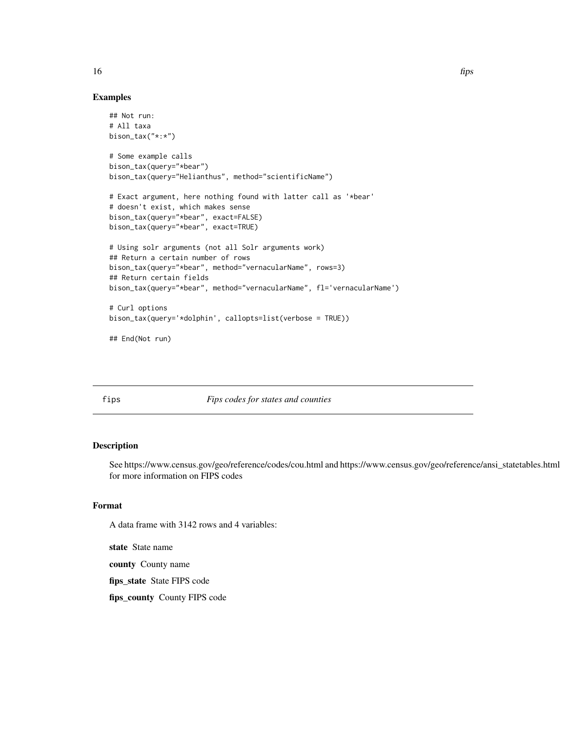#### Examples

```
## Not run:
# All taxa
bison_tax("*:*")
# Some example calls
bison_tax(query="*bear")
bison_tax(query="Helianthus", method="scientificName")
# Exact argument, here nothing found with latter call as '*bear'
# doesn't exist, which makes sense
bison_tax(query="*bear", exact=FALSE)
bison_tax(query="*bear", exact=TRUE)
# Using solr arguments (not all Solr arguments work)
## Return a certain number of rows
bison_tax(query="*bear", method="vernacularName", rows=3)
## Return certain fields
bison_tax(query="*bear", method="vernacularName", fl='vernacularName')
# Curl options
bison_tax(query='*dolphin', callopts=list(verbose = TRUE))
## End(Not run)
```
<span id="page-15-1"></span>fips *Fips codes for states and counties*

#### Description

See https://www.census.gov/geo/reference/codes/cou.html and https://www.census.gov/geo/reference/ansi\_statetables.html for more information on FIPS codes

## Format

A data frame with 3142 rows and 4 variables:

state State name

county County name

fips\_state State FIPS code

fips\_county County FIPS code

<span id="page-15-0"></span>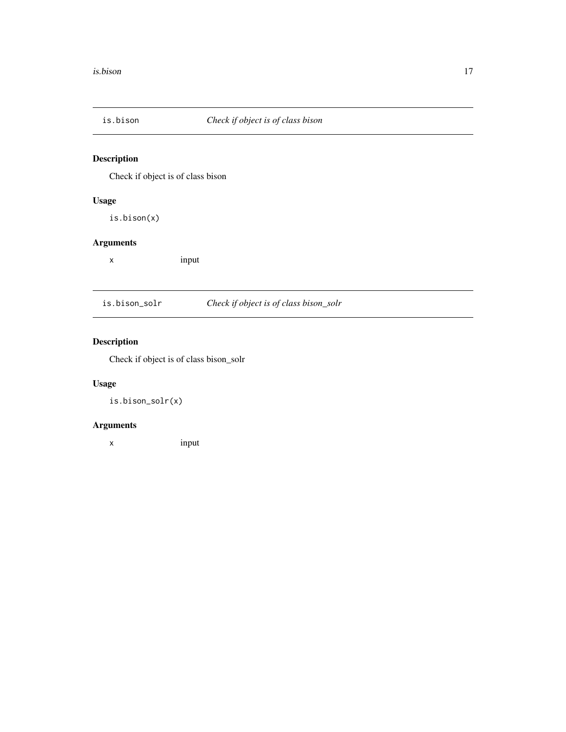<span id="page-16-0"></span>

# Description

Check if object is of class bison

# Usage

is.bison(x)

# Arguments

x input

| is.bison_solr | Check if object is of class bison_solr |
|---------------|----------------------------------------|
|---------------|----------------------------------------|

# Description

Check if object is of class bison\_solr

# Usage

is.bison\_solr(x)

# Arguments

x input